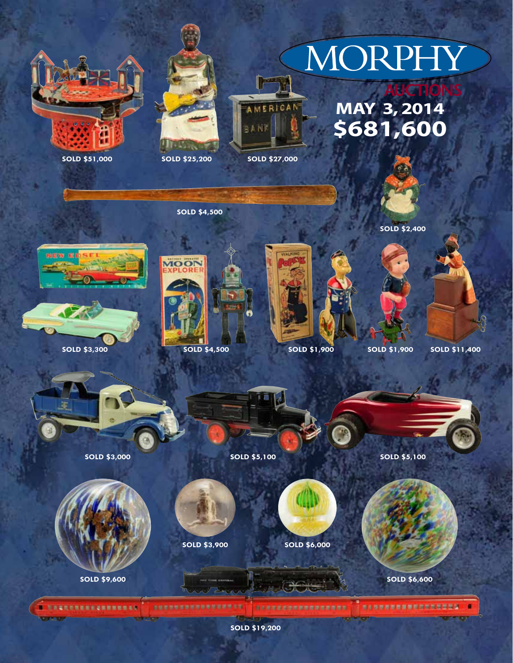# MORPHY

## **May 3, 2014 \$681,600**



**SOLD \$51,000 SOLD \$25,200 SOLD \$27,000**



l r

aAN

AMERICAN



**SOLD \$2,400**





**SOLD \$3,300**



**SOLD \$4,500**



**SOLD \$4,500 SOLD \$1,900 SOLD \$1,900**

**SOLD \$11,400**





**SOLD \$3,000 SOLD \$5,100**



**SOLD \$9,600**

**不具备现在有限图案 @ 图 图 图 图 图 图 名** 



**SOLD \$3,900 SOLD \$6,000**

**SARNESSENHAUSELT** 





**SOLD \$5,100**



**SOLD \$6,600**

\*\*\*\*\*\*\*\*\*\*\*\*\*\*\*\*

×

**SOLD \$19,200**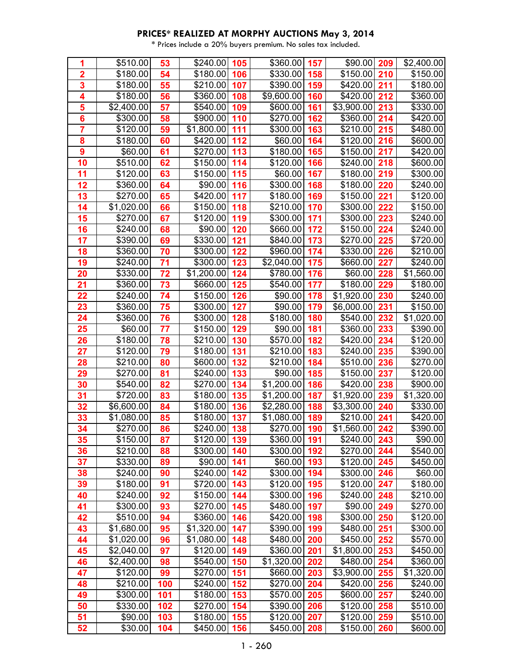| 1                       | \$510.00            | 53  | \$240.00      | 105 | \$360.00     | 157 | \$90.00         | 209 | \$2,400.00 |
|-------------------------|---------------------|-----|---------------|-----|--------------|-----|-----------------|-----|------------|
| $\overline{2}$          | \$180.00            | 54  | \$180.00      | 106 | \$330.00     | 158 | \$150.00        | 210 | \$150.00   |
| 3                       | \$180.00            | 55  | \$210.00      | 107 | \$390.00     | 159 | \$420.00        | 211 | \$180.00   |
| $\overline{\mathbf{4}}$ | \$180.00            | 56  | \$360.00      | 108 | \$9,600.00   | 160 | \$420.00        | 212 | \$360.00   |
| 5                       | \$2,400.00          | 57  | \$540.00      | 109 | \$600.00     | 161 | \$3,900.00      | 213 | \$330.00   |
| $6\phantom{a}$          | $\frac{1}{3}300.00$ | 58  | \$900.00      | 110 | \$270.00     | 162 | \$360.00        | 214 | \$420.00   |
| $\overline{7}$          | \$120.00            | 59  | \$1,800.00    | 111 | \$300.00     | 163 | \$210.00        | 215 | \$480.00   |
| 8                       | \$180.00            | 60  | \$420.00      | 112 | \$60.00      | 164 | \$120.00        | 216 | \$600.00   |
| 9                       | \$60.00             | 61  | \$270.00      | 113 | \$180.00     | 165 | \$150.00        | 217 | \$420.00   |
| 10                      | \$510.00            | 62  | \$150.00      | 114 | \$120.00     | 166 | \$240.00        | 218 | \$600.00   |
| 11                      | \$120.00            | 63  | \$150.00      | 115 | \$60.00      | 167 | \$180.00        | 219 | \$300.00   |
| 12                      | \$360.00            | 64  | \$90.00       | 116 | \$300.00     | 168 | \$180.00        | 220 | \$240.00   |
| 13                      | \$270.00            | 65  | \$420.00      | 117 | \$180.00     | 169 | \$150.00        | 221 | \$120.00   |
| 14                      | \$1,020.00          | 66  | \$150.00      | 118 | \$210.00     | 170 | \$300.00        | 222 | \$150.00   |
| 15                      | \$270.00            | 67  | \$120.00      | 119 | \$300.00     | 171 | \$300.00        | 223 | \$240.00   |
| 16                      | \$240.00            | 68  | \$90.00       | 120 | \$660.00     | 172 | \$150.00        | 224 | \$240.00   |
| 17                      | \$390.00            | 69  | \$330.00      | 121 | \$840.00     | 173 | \$270.00        | 225 | \$720.00   |
| 18                      | \$360.00            | 70  | \$300.00      | 122 | \$960.00     | 174 | \$330.00        | 226 | \$210.00   |
| 19                      | \$240.00            | 71  | \$300.00      | 123 | \$2,040.00   | 175 | \$660.00        | 227 | \$240.00   |
| 20                      | \$330.00            | 72  | \$1,200.00    | 124 | \$780.00     | 176 | \$60.00         | 228 | \$1,560.00 |
| 21                      | \$360.00            | 73  | \$660.00      | 125 | \$540.00     | 177 | \$180.00        | 229 | \$180.00   |
| 22                      | \$240.00            | 74  | \$150.00      | 126 | \$90.00      | 178 | \$1,920.00      | 230 | \$240.00   |
| 23                      | \$360.00            | 75  | \$300.00      | 127 | \$90.00      | 179 | \$6,000.00      | 231 | \$150.00   |
| 24                      | \$360.00            | 76  | \$300.00      | 128 | \$180.00     | 180 | \$540.00        | 232 | \$1,020.00 |
| 25                      | \$60.00             | 77  | \$150.00      | 129 | \$90.00      | 181 | \$360.00        | 233 | \$390.00   |
| 26                      | \$180.00            | 78  | \$210.00      | 130 | \$570.00     | 182 | \$420.00        | 234 | \$120.00   |
| 27                      | \$120.00            | 79  | \$180.00      | 131 | \$210.00     | 183 | \$240.00        | 235 | \$390.00   |
| 28                      | \$210.00            | 80  | \$600.00      | 132 | \$210.00     | 184 | \$510.00        | 236 | \$270.00   |
| 29                      | \$270.00            | 81  | \$240.00      | 133 | \$90.00      | 185 | \$150.00        | 237 | \$120.00   |
| 30                      | \$540.00            | 82  | \$270.00      | 134 | \$1,200.00   | 186 | \$420.00        | 238 | \$900.00   |
| 31                      | \$720.00            | 83  | \$180.00      | 135 | \$1,200.00   | 187 | \$1,920.00      | 239 | \$1,320.00 |
| 32                      | \$6,600.00          | 84  | \$180.00      | 136 | \$2,280.00   | 188 | \$3,300.00      | 240 | \$330.00   |
| 33                      | \$1,080.00          | 85  | \$180.00      | 137 | \$1,080.00   | 189 | \$210.00        | 241 | \$420.00   |
| 34                      | \$270.00            | 86  | $$240.00$ 138 |     | \$270.00     | 190 | $$1,560.00$ 242 |     | \$390.00   |
| 35                      | \$150.00            | 87  | $$120.00$ 139 |     | \$360.00     | 191 | $$240.00$ 243   |     | \$90.00    |
| 36                      | \$210.00            | 88  | $$300.00$ 140 |     | \$300.00     | 192 | \$270.00 244    |     | \$540.00   |
| 37                      | \$330.00            | 89  | $$90.00$ 141  |     | \$60.00      | 193 | $$120.00$ 245   |     | \$450.00   |
| 38                      | \$240.00            | 90  | \$240.00      | 142 | \$300.00     | 194 | \$300.00 246    |     | \$60.00    |
| 39                      | \$180.00            | 91  | $$720.00$ 143 |     | \$120.00     | 195 | $$120.00$ 247   |     | \$180.00   |
| 40                      | \$240.00            | 92  | $$150.00$ 144 |     | \$300.00     | 196 | $$240.00$ 248   |     | \$210.00   |
| 41                      | \$300.00            | 93  | $$270.00$ 145 |     | \$480.00     | 197 | $$90.00$ 249    |     | \$270.00   |
| 42                      | \$510.00            | 94  | \$360.00      | 146 | \$420.00     | 198 | \$300.00        | 250 | \$120.00   |
| 43                      | \$1,680.00          | 95  | \$1,320.00    | 147 | \$390.00     | 199 | $$480.00$ 251   |     | \$300.00   |
| 44                      | \$1,020.00          | 96  | \$1,080.00    | 148 | \$480.00     | 200 | \$450.00 252    |     | \$570.00   |
| 45                      | \$2,040.00          | 97  | \$120.00      | 149 | \$360.00 201 |     | $$1,800.00$ 253 |     | \$450.00   |
| 46                      | \$2,400.00          | 98  | $$540.00$ 150 |     | \$1,320.00   | 202 | $$480.00$ 254   |     | \$360.00   |
| 47                      | \$120.00            | 99  | \$270.00      | 151 | \$660.00     | 203 | \$3,900.00      | 255 | \$1,320.00 |
| 48                      | \$210.00            | 100 | \$240.00      | 152 | \$270.00     | 204 | \$420.00 256    |     | \$240.00   |
| 49                      | \$300.00            | 101 | \$180.00      | 153 | \$570.00     | 205 | \$600.00 257    |     | \$240.00   |
| 50                      | \$330.00            | 102 | \$270.00 154  |     | \$390.00     | 206 | $$120.00$ 258   |     | \$510.00   |
| 51                      | \$90.00             | 103 | $$180.00$ 155 |     | \$120.00     | 207 | $$120.00$ 259   |     | \$510.00   |
| 52                      | \$30.00             | 104 | $$450.00$ 156 |     | \$450.00     | 208 | $$150.00$ 260   |     | \$600.00   |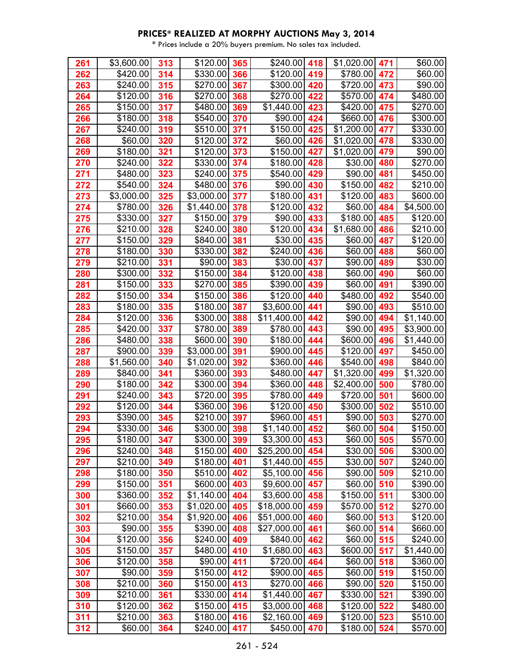| 261        | \$3,600.00           | 313        | $$120.00$ 365            |     | $$240.00$ 418               |     | $$1,020.00$ 471      |            | \$60.00                |
|------------|----------------------|------------|--------------------------|-----|-----------------------------|-----|----------------------|------------|------------------------|
| 262        | \$420.00             | 314        | \$330.00                 | 366 | \$120.00                    | 419 | \$780.00             | 472        | \$60.00                |
| 263        | \$240.00             | 315        | \$270.00                 | 367 | \$300.00                    | 420 | \$720.00             | 473        | \$90.00                |
| 264        | \$120.00             | 316        | \$270.00                 | 368 | \$270.00                    | 422 | \$570.00             | 474        | \$480.00               |
| 265        | \$150.00             | 317        | \$480.00                 | 369 | \$1,440.00                  | 423 | \$420.00             | 475        | \$270.00               |
| 266        | $\overline{$}180.00$ | 318        | \$540.00                 | 370 | \$90.00                     | 424 | \$660.00             | 476        | \$300.00               |
| 267        | \$240.00             | 319        | \$510.00                 | 371 | \$150.00                    | 425 | \$1,200.00           | 477        | \$330.00               |
| 268        | \$60.00              | 320        | \$120.00                 | 372 | \$60.00                     | 426 | \$1,020.00           | 478        | \$330.00               |
| 269        | \$180.00             | 321        | \$120.00                 | 373 | \$150.00                    | 427 | \$1,020.00           | 479        | \$90.00                |
| 270        | \$240.00             | 322        | \$330.00                 | 374 | \$180.00                    | 428 | \$30.00              | 480        | \$270.00               |
| 271        | \$480.00             | 323        | \$240.00                 | 375 | \$540.00                    | 429 | \$90.00              | 481        | \$450.00               |
| 272        | \$540.00             | 324        | \$480.00                 | 376 | \$90.00                     | 430 | \$150.00             | 482        | \$210.00               |
| 273        | \$3,000.00           | 325        | \$3,000.00               | 377 | \$180.00                    | 431 | \$120.00             | 483        | \$600.00               |
| 274        | \$780.00             | 326        | \$1,440.00               | 378 | \$120.00                    | 432 | \$60.00              | 484        | \$4,500.00             |
| 275        | \$330.00             | 327        | \$150.00                 | 379 | \$90.00                     | 433 | \$180.00             | 485        | \$120.00               |
| 276        | \$210.00             | 328        | \$240.00                 | 380 | \$120.00                    | 434 | \$1,680.00           | 486        | \$210.00               |
| 277        | \$150.00             | 329        | \$840.00                 | 381 | \$30.00                     | 435 | \$60.00              | 487        | \$120.00               |
| 278        | \$180.00             | 330        | \$330.00                 | 382 | \$240.00                    | 436 | \$60.00              | 488        | \$60.00                |
| 279        | \$210.00             | 331        | \$90.00                  | 383 | \$30.00                     | 437 | \$90.00              | 489        | \$30.00                |
| 280        | \$300.00             | 332        | \$150.00                 | 384 | \$120.00                    | 438 | \$60.00              | 490        | \$60.00                |
| 281        | \$150.00             | 333        | \$270.00                 | 385 | \$390.00                    | 439 | \$60.00              | 491        | \$390.00               |
| 282        | \$150.00             | 334        | \$150.00                 | 386 | \$120.00                    | 440 | \$480.00             | 492        | \$540.00               |
| 283        | \$180.00             | 335        | \$180.00                 | 387 | \$3,600.00                  | 441 | \$90.00              | 493        | \$510.00               |
| 284        | \$120.00             | 336        | \$300.00                 | 388 | \$11,400.00                 | 442 | \$90.00              | 494        | \$1,140.00             |
| 285        | \$420.00             | 337        | \$780.00                 | 389 | \$780.00                    | 443 | \$90.00              | 495        | \$3,900.00             |
| 286        | \$480.00             | 338        | \$600.00                 | 390 | \$180.00                    | 444 | $\sqrt{$600.00}$     | 496        | \$1,440.00             |
| 287        | \$900.00             | 339        | \$3,000.00               | 391 | \$900.00                    | 445 | \$120.00             | 497        | \$450.00               |
| 288        | \$1,560.00           | 340        | \$1,020.00               | 392 | \$360.00                    | 446 | \$540.00             | 498        | \$840.00               |
| 289        | \$840.00             | 341        | \$360.00                 | 393 | \$480.00                    | 447 | \$1,320.00           | 499        | \$1,320.00             |
| 290        | \$180.00             | 342        | \$300.00                 | 394 | \$360.00                    | 448 | \$2,400.00           | 500        | \$780.00               |
| 291        | \$240.00             | 343        | \$720.00                 | 395 | \$780.00                    | 449 | \$720.00             | 501        | \$600.00               |
| 292        | \$120.00             | 344        | \$360.00                 | 396 | \$120.00                    | 450 | \$300.00             | 502        | \$510.00               |
| 293        | \$390.00             | 345        | \$210.00                 | 397 | \$960.00                    | 451 | \$90.00              | 503        | \$270.00               |
| 294        | \$330.00             | 346        | $$300.00$ 398            |     | $$1,140.00$ 452             |     | $$60.00$ 504         |            | \$150.00               |
| 295        | \$180.00             | 347        | \$300.00 399             |     | $$3,300.00$ 453             |     | $$60.00$ 505         |            | \$570.00               |
| 296        | \$240.00             | 348        | $$150.00$ 400            |     | $$25,200.00$ 454            |     | $$30.00$ 506         |            | \$300.00               |
| 297        | \$210.00             | 349        | \$180.00                 | 401 | \$1,440.00                  | 455 | \$30.00              | 507        | \$240.00               |
| 298        | \$180.00             | 350        | \$510.00                 | 402 | \$5,100.00                  | 456 | \$90.00              | 509        | \$210.00               |
| 299        | \$150.00             | 351        | $$600.00$ 403            |     | \$9,600.00 457              |     | $$60.00$ 510         |            | \$390.00               |
| 300        | \$360.00             | 352        | \$1,140.00               | 404 | $$3,600.00$ 458             |     | \$150.00             | 511        | \$300.00               |
| 301        | \$660.00             | 353        | $$1,020.00$ 405          |     | $$18,000.00$ 459            |     | \$570.00             | 512        | \$270.00               |
| 302        | \$210.00             | 354        | \$1,920.00               | 406 | \$51,000.00                 | 460 | \$60.00              | 513        | \$120.00               |
| 303        | \$90.00              | 355        | \$390.00                 | 408 | \$27,000.00                 | 461 | \$60.00              | 514        | \$660.00               |
| 304        | \$120.00             | 356        | $$240.00$ 409            |     | \$840.00<br>$$1,680.00$ 463 | 462 | $$60.00$ 515         |            | \$240.00               |
| 305        | \$150.00<br>\$120.00 | 357<br>358 | \$480.00<br>$$90.00$ 411 | 410 |                             |     | \$600.00]<br>\$60.00 | 517        | \$1,440.00<br>\$360.00 |
| 306        | \$90.00              | 359        | \$150.00                 | 412 | \$720.00 464<br>\$900.00    | 465 | \$60.00              | 518<br>519 | \$150.00               |
| 307<br>308 | \$210.00             | 360        | \$150.00                 | 413 | \$270.00                    | 466 | $$90.00$ 520         |            | \$150.00               |
| 309        | \$210.00             | 361        | $$330.00$ 414            |     | $$1,440.00$ 467             |     | $$330.00$ 521        |            | \$390.00               |
| 310        | \$120.00             | 362        | $$150.00$ 415            |     | $$3,000.00$ 468             |     | \$120.00             | 522        | \$480.00               |
| 311        | \$210.00             | 363        | $$180.00$ 416            |     | $$2,160.00$ 469             |     | $$120.00$ 523        |            | \$510.00               |
| 312        | \$60.00              | 364        | \$240.00                 | 417 | \$450.00                    | 470 | \$180.00 524         |            | \$570.00               |
|            |                      |            |                          |     |                             |     |                      |            |                        |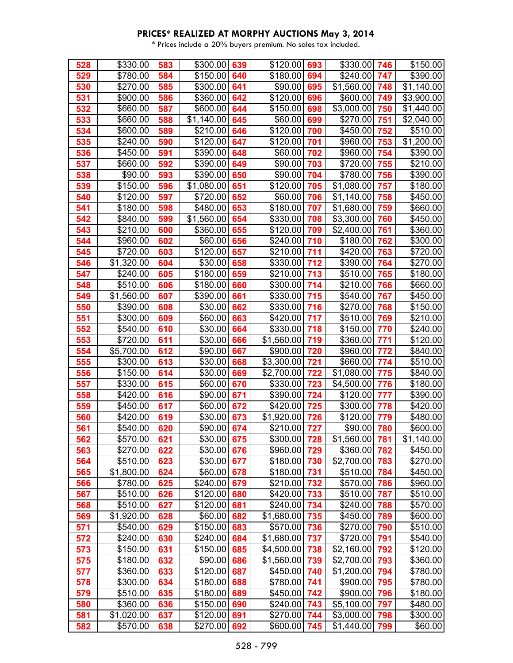| 528 | \$330.00   | 583 | \$300.00   | 639 | \$120.00        | 693 | \$330.00             | 746 | \$150.00   |
|-----|------------|-----|------------|-----|-----------------|-----|----------------------|-----|------------|
| 529 | \$780.00   | 584 | \$150.00   | 640 | \$180.00        | 694 | \$240.00             | 747 | \$390.00   |
| 530 | \$270.00   | 585 | \$300.00   | 641 | \$90.00         | 695 | \$1,560.00           | 748 | \$1,140.00 |
| 531 | \$900.00   | 586 | \$360.00   | 642 | \$120.00        | 696 | \$600.00             | 749 | \$3,900.00 |
| 532 | \$660.00   | 587 | \$600.00   | 644 | \$150.00        | 698 | \$3,000.00           | 750 | \$1,440.00 |
| 533 | \$660.00   | 588 | \$1,140.00 | 645 | \$60.00         | 699 | \$270.00             | 751 | \$2,040.00 |
| 534 | \$600.00   | 589 | \$210.00   | 646 | \$120.00        | 700 | $\overline{$}450.00$ | 752 | \$510.00   |
| 535 | \$240.00   | 590 | \$120.00   | 647 | \$120.00        | 701 | \$960.00             | 753 | \$1,200.00 |
| 536 | \$450.00   | 591 | \$390.00   | 648 | \$60.00         | 702 | \$960.00             | 754 | \$390.00   |
| 537 | \$660.00   | 592 | \$390.00   | 649 | \$90.00         | 703 | \$720.00             | 755 | \$210.00   |
| 538 | \$90.00    | 593 | \$390.00   | 650 | \$90.00         | 704 | \$780.00             | 756 | \$390.00   |
| 539 | \$150.00   | 596 | \$1,080.00 | 651 | \$120.00        | 705 | \$1,080.00           | 757 | \$180.00   |
| 540 | \$120.00   | 597 | \$720.00   | 652 | \$60.00         | 706 | \$1,140.00           | 758 | \$450.00   |
| 541 | \$180.00   | 598 | \$480.00   | 653 | \$180.00        | 707 | \$1,680.00           | 759 | \$660.00   |
| 542 | \$840.00   | 599 | \$1,560.00 | 654 | \$330.00        | 708 | \$3,300.00           | 760 | \$450.00   |
| 543 | \$210.00   | 600 | \$360.00   | 655 | \$120.00        | 709 | \$2,400.00           | 761 | \$360.00   |
| 544 | \$960.00   | 602 | \$60.00    | 656 | \$240.00        | 710 | \$180.00             | 762 | \$300.00   |
| 545 | \$720.00   | 603 | \$120.00   | 657 | \$210.00        | 711 | \$420.00             | 763 | \$720.00   |
| 546 | \$1,320.00 | 604 | \$30.00    | 658 | \$330.00        | 712 | \$390.00             | 764 | \$270.00   |
| 547 | \$240.00   | 605 | \$180.00   | 659 | $$210.00$ 713   |     | \$510.00             | 765 | \$180.00   |
| 548 | \$510.00   | 606 | \$180.00   | 660 | \$300.00        | 714 | \$210.00             | 766 | \$660.00   |
| 549 | \$1,560.00 | 607 | \$390.00   | 661 | \$330.00        | 715 | \$540.00             | 767 | \$450.00   |
| 550 | \$390.00   | 608 | \$30.00    | 662 | \$330.00        | 716 | \$270.00             | 768 | \$150.00   |
| 551 | \$300.00   | 609 | \$60.00    | 663 | \$420.00        | 717 | \$510.00             | 769 | \$210.00   |
| 552 | \$540.00   | 610 | \$30.00    | 664 | $$330.00$ 718   |     | \$150.00             | 770 | \$240.00   |
| 553 | \$720.00   | 611 | \$30.00    | 666 | $$1,560.00$ 719 |     | \$360.00             | 771 | \$120.00   |
| 554 | \$5,700.00 | 612 | \$90.00    | 667 | \$900.00        | 720 | \$960.00             | 772 | \$840.00   |
| 555 | \$300.00   | 613 | \$30.00    | 668 | \$3,300.00      | 721 | \$660.00             | 774 | \$510.00   |
| 556 | \$150.00   | 614 | \$30.00    | 669 | \$2,700.00      | 722 | \$1,080.00           | 775 | \$840.00   |
| 557 | \$330.00   | 615 | \$60.00    | 670 | \$330.00        | 723 | \$4,500.00           | 776 | \$180.00   |
| 558 | \$420.00   | 616 | \$90.00    | 671 | \$390.00 724    |     | \$120.00             | 777 | \$390.00   |
| 559 | \$450.00   | 617 | \$60.00    | 672 | \$420.00        | 725 | \$300.00             | 778 | \$420.00   |
| 560 | \$420.00   | 619 | \$30.00    | 673 | \$1,920.00      | 726 | $\overline{$}120.00$ | 779 | \$480.00   |
| 561 | \$540.00   | 620 | \$90.00    | 674 | \$210.00 727    |     | \$90.00              | 780 | \$600.00   |
| 562 | \$570.00   | 621 | \$30.00    | 675 | $$300.00$ 728   |     | \$1,560.00           | 781 | \$1,140.00 |
| 563 | \$270.00   | 622 | \$30.00    | 676 | \$960.00 729    |     | \$360.00             | 782 | \$450.00   |
| 564 | \$510.00   | 623 | \$30.00    | 677 | $$180.00$ 730   |     | \$2,700.00           | 783 | \$270.00   |
| 565 | \$1,800.00 | 624 | \$60.00    | 678 | $$180.00$ 731   |     | \$510.00             | 784 | \$450.00   |
| 566 | \$780.00   | 625 | \$240.00   | 679 | $$210.00$ 732   |     | \$570.00             | 786 | \$960.00   |
| 567 | \$510.00   | 626 | \$120.00   | 680 | \$420.00        | 733 | \$510.00             | 787 | \$510.00   |
| 568 | \$510.00   | 627 | \$120.00   | 681 | $$240.00$ 734   |     | \$240.00             | 788 | \$570.00   |
| 569 | \$1,920.00 | 628 | \$60.00    | 682 | $$1,680.00$ 735 |     | \$450.00             | 789 | \$600.00   |
| 571 | \$540.00   | 629 | \$150.00   | 683 | \$570.00 736    |     | \$270.00             | 790 | \$510.00   |
| 572 | \$240.00   | 630 | \$240.00   | 684 | $$1,680.00$ 737 |     | \$720.00             | 791 | \$540.00   |
| 573 | \$150.00   | 631 | \$150.00   | 685 | \$4,500.00      | 738 | \$2,160.00           | 792 | \$120.00   |
| 575 | \$180.00   | 632 | \$90.00    | 686 | $$1,560.00$ 739 |     | \$2,700.00           | 793 | \$360.00   |
| 577 | \$360.00   | 633 | \$120.00   | 687 | \$450.00 740    |     | \$1,200.00           | 794 | \$780.00   |
| 578 | \$300.00   | 634 | \$180.00   | 688 | \$780.00 741    |     | \$900.00             | 795 | \$780.00   |
| 579 | \$510.00   | 635 | \$180.00   | 689 | \$450.00 742    |     | \$900.00             | 796 | \$180.00   |
| 580 | \$360.00   | 636 | \$150.00   | 690 | \$240.00        | 743 | \$5,100.00           | 797 | \$480.00   |
| 581 | \$1,020.00 | 637 | \$120.00   | 691 | $$270.00$ 744   |     | \$3,000.00           | 798 | \$300.00   |
| 582 | \$570.00   | 638 | \$270.00   | 692 | $$600.00$ 745   |     | \$1,440.00           | 799 | \$60.00    |